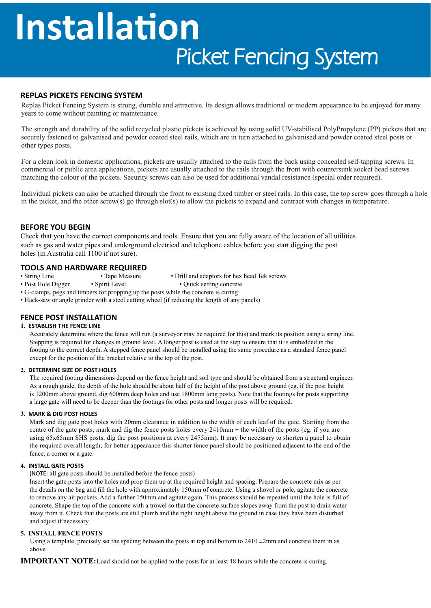## LIVII<br>Dicket Eensing Suste **Installation** Picket Fencing System

#### **REPLAS PICKETS FENCING SYSTEM**

Replas Picket Fencing System is strong, durable and attractive. Its design allows traditional or modern appearance to be enjoyed for many years to come without painting or maintenance.

The strength and durability of the solid recycled plastic pickets is achieved by using solid UV-stabilised PolyPropylene (PP) pickets that are securely fastened to galvanised and powder coated steel rails, which are in turn attached to galvanised and powder coated steel posts or other types posts.

For a clean look in domestic applications, pickets are usually attached to the rails from the back using concealed self-tapping screws. In commercial or public area applications, pickets are usually attached to the rails through the front with countersunk socket head screws matching the colour of the pickets. Security screws can also be used for additional vandal resistance (special order required).

Individual pickets can also be attached through the front to existing fixed timber or steel rails. In this case, the top screw goes through a hole in the picket, and the other screw(s) go through slot(s) to allow the pickets to expand and contract with changes in temperature.

#### **BEFORE YOU BEGIN**

Check that you have the correct components and tools. Ensure that you are fully aware of the location of all utilities such as gas and water pipes and underground electrical and telephone cables before you start digging the post holes (in Australia call 1100 if not sure).

### **TOOLS AND HARDWARE REQUIRED**<br> **•** String Line **•** Tape Measure

- Drill and adaptors for hex head Tek screws
- Post Hole Digger Spirit Level Quick setting concrete
- G-clamps, pegs and timbers for propping up the posts while the concrete is curing
- Hack-saw or angle grinder with a steel cutting wheel (if reducing the length of any panels)

#### **FENCE POST INSTALLATION**

#### **1. ESTABLISH THE FENCE LINE**

Accurately determine where the fence will run (a surveyor may be required for this) and mark its position using a string line. Stepping is required for changes in ground level. A longer post is used at the step to ensure that it is embedded in the footing to the correct depth. A stepped fence panel should be installed using the same procedure as a standard fence panel except for the position of the bracket relative to the top of the post.

#### **2. DETERMINE SIZE OF POST HOLES**

The required footing dimensions depend on the fence height and soil type and should be obtained from a structural engineer. As a rough guide, the depth of the hole should be about half of the height of the post above ground (eg. if the post height is 1200mm above ground, dig 600mm deep holes and use 1800mm long posts). Note that the footings for posts supporting a large gate will need to be deeper than the footings for other posts and longer posts will be required.

#### **3. M ARK & DIG POST HOLES**

Mark and dig gate post holes with 20mm clearance in addition to the width of each leaf of the gate. Starting from the centre of the gate posts, mark and dig the fence posts holes every 2410mm + the width of the posts (eg. if you are using 65x65mm SHS posts, dig the post positions at every 2475mm). It may be necessary to shorten a panel to obtain the required overall length; for better appearance this shorter fence panel should be positioned adjacent to the end of the fence, a corner or a gate.

#### **4. INSTALL GATE POSTS**

(NOTE: all gate posts should be installed before the fence posts)

Insert the gate posts into the holes and prop them up at the required height and spacing. Prepare the concrete mix as per the details on the bag and fill the hole with approximately 150mm of concrete. Using a shovel or pole, agitate the concrete to remove any air pockets. Add a further 150mm and agitate again. This process should be repeated until the hole is full of concrete. Shape the top of the concrete with a trowel so that the concrete surface slopes away from the post to drain water away from it. Check that the posts are still plumb and the right height above the ground in case they have been disturbed and adjust if necessary.

#### **5. I NSTALL FENCE POSTS**

Using a template, precisely set the spacing between the posts at top and bottom to  $2410 \pm 2 \text{mm}$  and concrete them in as above.

**IMPORTANT NOTE:** Load should not be applied to the posts for at least 48 hours while the concrete is curing.